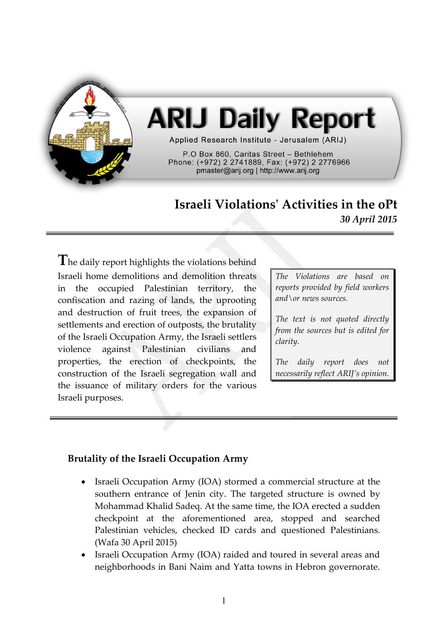

# **ARIJ Daily Report**

Applied Research Institute - Jerusalem (ARIJ)

P.O Box 860. Caritas Street - Bethlehem Phone: (+972) 2 2741889, Fax: (+972) 2 2776966 pmaster@arij.org | http://www.arij.org

## **Israeli Violations' Activities in the oPt** *30 April 2015*

The daily report highlights the violations behind Israeli home demolitions and demolition threats in the occupied Palestinian territory, the confiscation and razing of lands, the uprooting and destruction of fruit trees, the expansion of settlements and erection of outposts, the brutality of the Israeli Occupation Army, the Israeli settlers violence against Palestinian civilians and properties, the erection of checkpoints, the construction of the Israeli segregation wall and the issuance of military orders for the various Israeli purposes.

*The Violations are based on reports provided by field workers and\or news sources.*

*The text is not quoted directly from the sources but is edited for clarity.*

*The daily report does not necessarily reflect ARIJ's opinion.*

#### **Brutality of the Israeli Occupation Army**

- Israeli Occupation Army (IOA) stormed a commercial structure at the southern entrance of Jenin city. The targeted structure is owned by Mohammad Khalid Sadeq. At the same time, the IOA erected a sudden checkpoint at the aforementioned area, stopped and searched Palestinian vehicles, checked ID cards and questioned Palestinians. (Wafa 30 April 2015)
- Israeli Occupation Army (IOA) raided and toured in several areas and neighborhoods in Bani Naim and Yatta towns in Hebron governorate.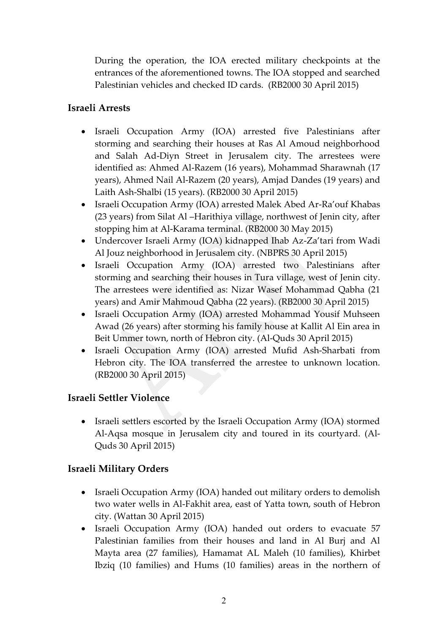During the operation, the IOA erected military checkpoints at the entrances of the aforementioned towns. The IOA stopped and searched Palestinian vehicles and checked ID cards. (RB2000 30 April 2015)

#### **Israeli Arrests**

- Israeli Occupation Army (IOA) arrested five Palestinians after storming and searching their houses at Ras Al Amoud neighborhood and Salah Ad-Diyn Street in Jerusalem city. The arrestees were identified as: Ahmed Al-Razem (16 years), Mohammad Sharawnah (17 years), Ahmed Nail Al-Razem (20 years), Amjad Dandes (19 years) and Laith Ash-Shalbi (15 years). (RB2000 30 April 2015)
- Israeli Occupation Army (IOA) arrested Malek Abed Ar-Ra'ouf Khabas (23 years) from Silat Al –Harithiya village, northwest of Jenin city, after stopping him at Al-Karama terminal. (RB2000 30 May 2015)
- Undercover Israeli Army (IOA) kidnapped Ihab Az-Za'tari from Wadi Al Jouz neighborhood in Jerusalem city. (NBPRS 30 April 2015)
- Israeli Occupation Army (IOA) arrested two Palestinians after storming and searching their houses in Tura village, west of Jenin city. The arrestees were identified as: Nizar Wasef Mohammad Qabha (21 years) and Amir Mahmoud Qabha (22 years). (RB2000 30 April 2015)
- Israeli Occupation Army (IOA) arrested Mohammad Yousif Muhseen Awad (26 years) after storming his family house at Kallit Al Ein area in Beit Ummer town, north of Hebron city. (Al-Quds 30 April 2015)
- Israeli Occupation Army (IOA) arrested Mufid Ash-Sharbati from Hebron city. The IOA transferred the arrestee to unknown location. (RB2000 30 April 2015)

#### **Israeli Settler Violence**

• Israeli settlers escorted by the Israeli Occupation Army (IOA) stormed Al-Aqsa mosque in Jerusalem city and toured in its courtyard. (Al-Quds 30 April 2015)

### **Israeli Military Orders**

- Israeli Occupation Army (IOA) handed out military orders to demolish two water wells in Al-Fakhit area, east of Yatta town, south of Hebron city. (Wattan 30 April 2015)
- Israeli Occupation Army (IOA) handed out orders to evacuate 57 Palestinian families from their houses and land in Al Burj and Al Mayta area (27 families), Hamamat AL Maleh (10 families), Khirbet Ibziq (10 families) and Hums (10 families) areas in the northern of